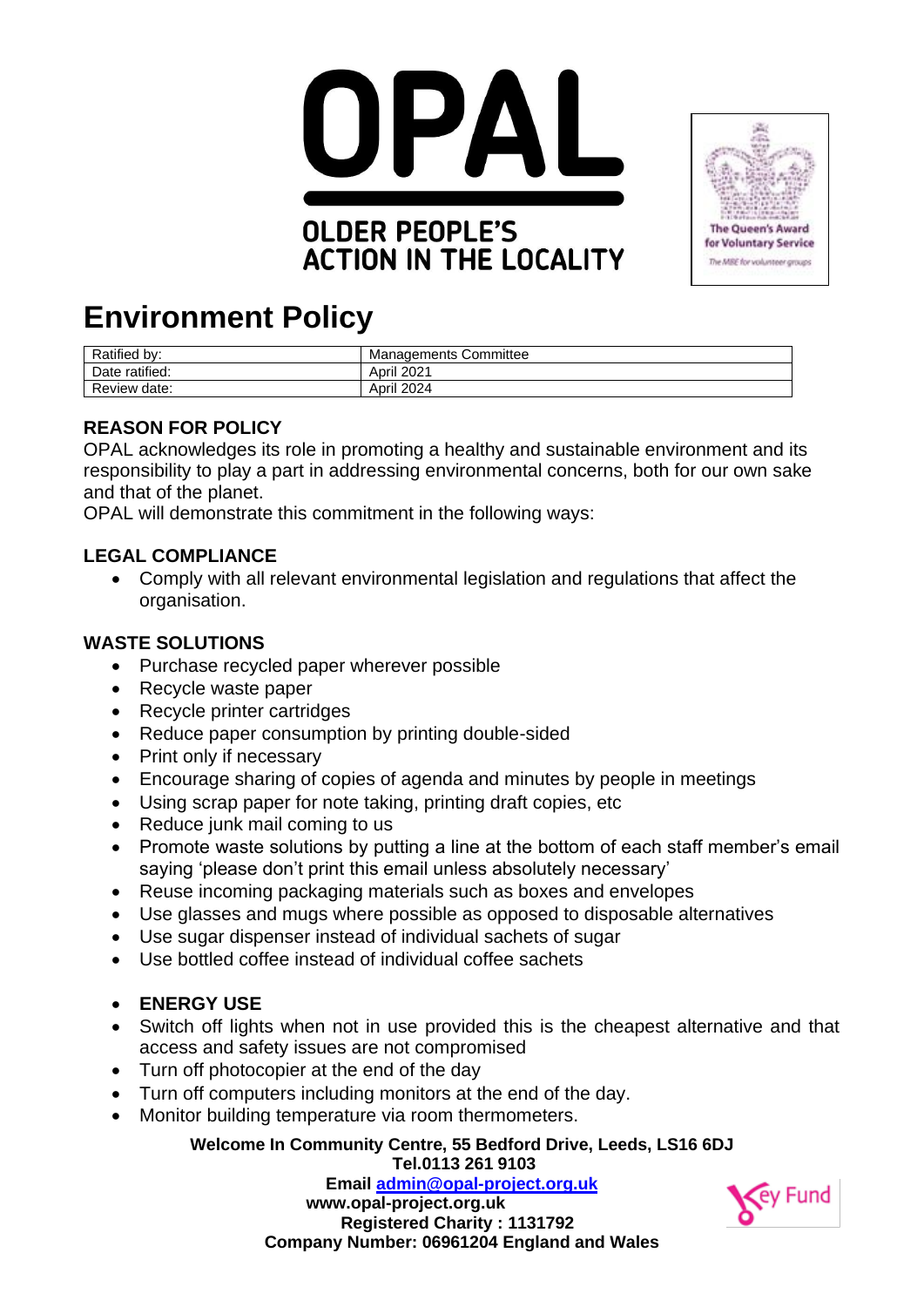

## **OLDER PEOPLE'S ACTION IN THE LOCALITY**



# **Environment Policy**

| Ratified by:   | <b>Managements Committee</b> |
|----------------|------------------------------|
| Date ratified: | April 2021                   |
| Review date:   | April 2024                   |

## **REASON FOR POLICY**

OPAL acknowledges its role in promoting a healthy and sustainable environment and its responsibility to play a part in addressing environmental concerns, both for our own sake and that of the planet.

OPAL will demonstrate this commitment in the following ways:

### **LEGAL COMPLIANCE**

• Comply with all relevant environmental legislation and regulations that affect the organisation.

### **WASTE SOLUTIONS**

- Purchase recycled paper wherever possible
- Recycle waste paper
- Recycle printer cartridges
- Reduce paper consumption by printing double-sided
- Print only if necessary
- Encourage sharing of copies of agenda and minutes by people in meetings
- Using scrap paper for note taking, printing draft copies, etc
- Reduce junk mail coming to us
- Promote waste solutions by putting a line at the bottom of each staff member's email saying 'please don't print this email unless absolutely necessary'
- Reuse incoming packaging materials such as boxes and envelopes
- Use glasses and mugs where possible as opposed to disposable alternatives
- Use sugar dispenser instead of individual sachets of sugar
- Use bottled coffee instead of individual coffee sachets
- **ENERGY USE**
- Switch off lights when not in use provided this is the cheapest alternative and that access and safety issues are not compromised
- Turn off photocopier at the end of the day
- Turn off computers including monitors at the end of the day.
- Monitor building temperature via room thermometers.

#### **Welcome In Community Centre, 55 Bedford Drive, Leeds, LS16 6DJ Tel.0113 261 9103**

**Email [admin@opal-project.org.uk](mailto:admin@opal-project.org.uk) www.opal-project.org.uk Registered Charity : 1131792 Company Number: 06961204 England and Wales**